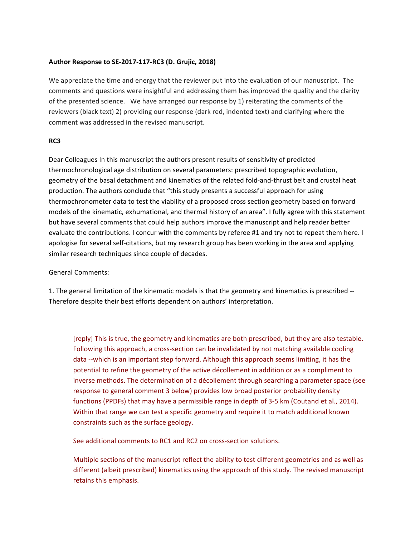## **Author Response to SE-2017-117-RC3 (D. Grujic, 2018)**

We appreciate the time and energy that the reviewer put into the evaluation of our manuscript. The comments and questions were insightful and addressing them has improved the quality and the clarity of the presented science. We have arranged our response by 1) reiterating the comments of the reviewers (black text) 2) providing our response (dark red, indented text) and clarifying where the comment was addressed in the revised manuscript.

## **RC3**

Dear Colleagues In this manuscript the authors present results of sensitivity of predicted thermochronological age distribution on several parameters: prescribed topographic evolution, geometry of the basal detachment and kinematics of the related fold-and-thrust belt and crustal heat production. The authors conclude that "this study presents a successful approach for using thermochronometer data to test the viability of a proposed cross section geometry based on forward models of the kinematic, exhumational, and thermal history of an area". I fully agree with this statement but have several comments that could help authors improve the manuscript and help reader better evaluate the contributions. I concur with the comments by referee #1 and try not to repeat them here. I apologise for several self-citations, but my research group has been working in the area and applying similar research techniques since couple of decades.

General Comments:

1. The general limitation of the kinematic models is that the geometry and kinematics is prescribed --Therefore despite their best efforts dependent on authors' interpretation.

[reply] This is true, the geometry and kinematics are both prescribed, but they are also testable. Following this approach, a cross-section can be invalidated by not matching available cooling data --which is an important step forward. Although this approach seems limiting, it has the potential to refine the geometry of the active décollement in addition or as a compliment to inverse methods. The determination of a décollement through searching a parameter space (see response to general comment 3 below) provides low broad posterior probability density functions (PPDFs) that may have a permissible range in depth of 3-5 km (Coutand et al., 2014). Within that range we can test a specific geometry and require it to match additional known constraints such as the surface geology.

See additional comments to RC1 and RC2 on cross-section solutions.

Multiple sections of the manuscript reflect the ability to test different geometries and as well as different (albeit prescribed) kinematics using the approach of this study. The revised manuscript retains this emphasis.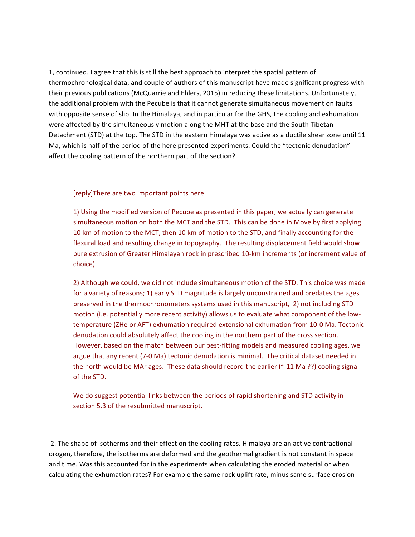1, continued. I agree that this is still the best approach to interpret the spatial pattern of thermochronological data, and couple of authors of this manuscript have made significant progress with their previous publications (McQuarrie and Ehlers, 2015) in reducing these limitations. Unfortunately, the additional problem with the Pecube is that it cannot generate simultaneous movement on faults with opposite sense of slip. In the Himalaya, and in particular for the GHS, the cooling and exhumation were affected by the simultaneously motion along the MHT at the base and the South Tibetan Detachment (STD) at the top. The STD in the eastern Himalaya was active as a ductile shear zone until 11 Ma, which is half of the period of the here presented experiments. Could the "tectonic denudation" affect the cooling pattern of the northern part of the section?

[reply]There are two important points here.

1) Using the modified version of Pecube as presented in this paper, we actually can generate simultaneous motion on both the MCT and the STD. This can be done in Move by first applying 10 km of motion to the MCT, then 10 km of motion to the STD, and finally accounting for the flexural load and resulting change in topography. The resulting displacement field would show pure extrusion of Greater Himalayan rock in prescribed 10-km increments (or increment value of choice). 

2) Although we could, we did not include simultaneous motion of the STD. This choice was made for a variety of reasons; 1) early STD magnitude is largely unconstrained and predates the ages preserved in the thermochronometers systems used in this manuscript, 2) not including STD motion (i.e. potentially more recent activity) allows us to evaluate what component of the lowtemperature (ZHe or AFT) exhumation required extensional exhumation from 10-0 Ma. Tectonic denudation could absolutely affect the cooling in the northern part of the cross section. However, based on the match between our best-fitting models and measured cooling ages, we argue that any recent (7-0 Ma) tectonic denudation is minimal. The critical dataset needed in the north would be MAr ages. These data should record the earlier ( $\sim$  11 Ma ??) cooling signal of the STD.

We do suggest potential links between the periods of rapid shortening and STD activity in section 5.3 of the resubmitted manuscript.

2. The shape of isotherms and their effect on the cooling rates. Himalaya are an active contractional orogen, therefore, the isotherms are deformed and the geothermal gradient is not constant in space and time. Was this accounted for in the experiments when calculating the eroded material or when calculating the exhumation rates? For example the same rock uplift rate, minus same surface erosion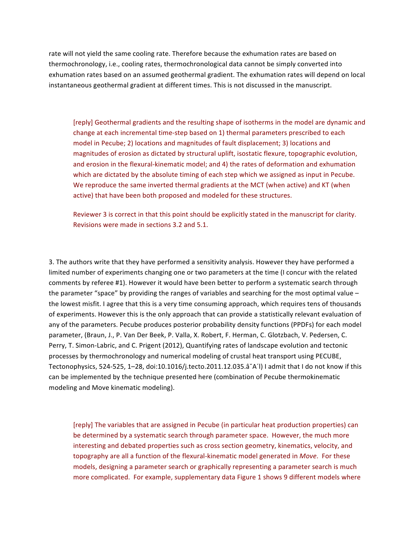rate will not yield the same cooling rate. Therefore because the exhumation rates are based on thermochronology, i.e., cooling rates, thermochronological data cannot be simply converted into exhumation rates based on an assumed geothermal gradient. The exhumation rates will depend on local instantaneous geothermal gradient at different times. This is not discussed in the manuscript.

[reply] Geothermal gradients and the resulting shape of isotherms in the model are dynamic and change at each incremental time-step based on 1) thermal parameters prescribed to each model in Pecube; 2) locations and magnitudes of fault displacement; 3) locations and magnitudes of erosion as dictated by structural uplift, isostatic flexure, topographic evolution, and erosion in the flexural-kinematic model; and 4) the rates of deformation and exhumation which are dictated by the absolute timing of each step which we assigned as input in Pecube. We reproduce the same inverted thermal gradients at the MCT (when active) and KT (when active) that have been both proposed and modeled for these structures.

Reviewer 3 is correct in that this point should be explicitly stated in the manuscript for clarity. Revisions were made in sections 3.2 and 5.1.

3. The authors write that they have performed a sensitivity analysis. However they have performed a limited number of experiments changing one or two parameters at the time (I concur with the related comments by referee #1). However it would have been better to perform a systematic search through the parameter "space" by providing the ranges of variables and searching for the most optimal value  $$ the lowest misfit. I agree that this is a very time consuming approach, which requires tens of thousands of experiments. However this is the only approach that can provide a statistically relevant evaluation of any of the parameters. Pecube produces posterior probability density functions (PPDFs) for each model parameter, (Braun, J., P. Van Der Beek, P. Valla, X. Robert, F. Herman, C. Glotzbach, V. Pedersen, C. Perry, T. Simon-Labric, and C. Prigent (2012), Quantifying rates of landscape evolution and tectonic processes by thermochronology and numerical modeling of crustal heat transport using PECUBE, Tectonophysics, 524-525, 1-28, doi:10.1016/j.tecto.2011.12.035.â A´l) I admit that I do not know if this can be implemented by the technique presented here (combination of Pecube thermokinematic modeling and Move kinematic modeling).

[reply] The variables that are assigned in Pecube (in particular heat production properties) can be determined by a systematic search through parameter space. However, the much more interesting and debated properties such as cross section geometry, kinematics, velocity, and topography are all a function of the flexural-kinematic model generated in *Move*. For these models, designing a parameter search or graphically representing a parameter search is much more complicated. For example, supplementary data Figure 1 shows 9 different models where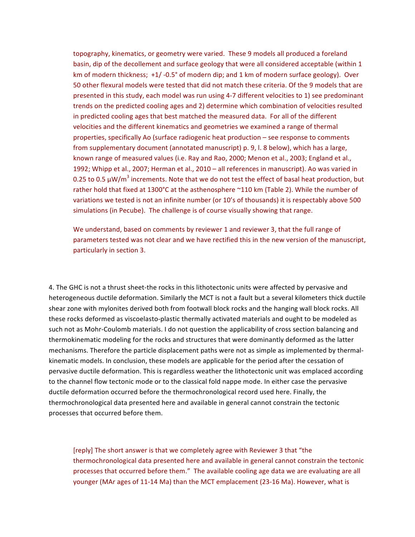topography, kinematics, or geometry were varied. These 9 models all produced a foreland basin, dip of the decollement and surface geology that were all considered acceptable (within 1 km of modern thickness;  $+1/$  -0.5° of modern dip; and 1 km of modern surface geology). Over 50 other flexural models were tested that did not match these criteria. Of the 9 models that are presented in this study, each model was run using 4-7 different velocities to 1) see predominant trends on the predicted cooling ages and 2) determine which combination of velocities resulted in predicted cooling ages that best matched the measured data. For all of the different velocities and the different kinematics and geometries we examined a range of thermal properties, specifically Ao (surface radiogenic heat production – see response to comments from supplementary document (annotated manuscript) p. 9, l. 8 below), which has a large, known range of measured values (i.e. Ray and Rao, 2000; Menon et al., 2003; England et al., 1992; Whipp et al., 2007; Herman et al., 2010 – all references in manuscript). Ao was varied in 0.25 to 0.5  $\mu$ W/m<sup>3</sup> increments. Note that we do not test the effect of basal heat production, but rather hold that fixed at 1300°C at the asthenosphere ~110 km (Table 2). While the number of variations we tested is not an infinite number (or 10's of thousands) it is respectably above 500 simulations (in Pecube). The challenge is of course visually showing that range.

We understand, based on comments by reviewer 1 and reviewer 3, that the full range of parameters tested was not clear and we have rectified this in the new version of the manuscript, particularly in section 3.

4. The GHC is not a thrust sheet-the rocks in this lithotectonic units were affected by pervasive and heterogeneous ductile deformation. Similarly the MCT is not a fault but a several kilometers thick ductile shear zone with mylonites derived both from footwall block rocks and the hanging wall block rocks. All these rocks deformed as viscoelasto-plastic thermally activated materials and ought to be modeled as such not as Mohr-Coulomb materials. I do not question the applicability of cross section balancing and thermokinematic modeling for the rocks and structures that were dominantly deformed as the latter mechanisms. Therefore the particle displacement paths were not as simple as implemented by thermalkinematic models. In conclusion, these models are applicable for the period after the cessation of pervasive ductile deformation. This is regardless weather the lithotectonic unit was emplaced according to the channel flow tectonic mode or to the classical fold nappe mode. In either case the pervasive ductile deformation occurred before the thermochronological record used here. Finally, the thermochronological data presented here and available in general cannot constrain the tectonic processes that occurred before them.

[reply] The short answer is that we completely agree with Reviewer 3 that "the thermochronological data presented here and available in general cannot constrain the tectonic processes that occurred before them." The available cooling age data we are evaluating are all younger (MAr ages of 11-14 Ma) than the MCT emplacement (23-16 Ma). However, what is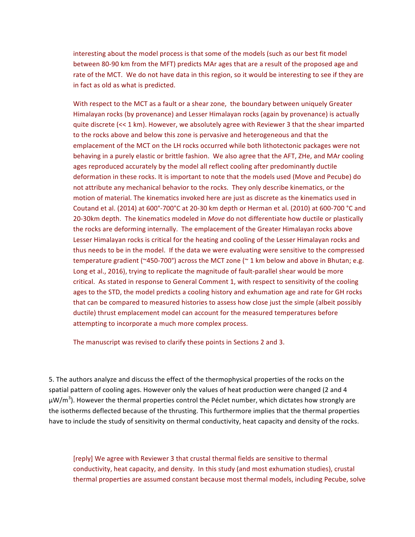interesting about the model process is that some of the models (such as our best fit model between 80-90 km from the MFT) predicts MAr ages that are a result of the proposed age and rate of the MCT. We do not have data in this region, so it would be interesting to see if they are in fact as old as what is predicted.

With respect to the MCT as a fault or a shear zone, the boundary between uniquely Greater Himalayan rocks (by provenance) and Lesser Himalayan rocks (again by provenance) is actually quite discrete (<< 1 km). However, we absolutely agree with Reviewer 3 that the shear imparted to the rocks above and below this zone is pervasive and heterogeneous and that the emplacement of the MCT on the LH rocks occurred while both lithotectonic packages were not behaving in a purely elastic or brittle fashion. We also agree that the AFT, ZHe, and MAr cooling ages reproduced accurately by the model all reflect cooling after predominantly ductile deformation in these rocks. It is important to note that the models used (Move and Pecube) do not attribute any mechanical behavior to the rocks. They only describe kinematics, or the motion of material. The kinematics invoked here are just as discrete as the kinematics used in Coutand et al. (2014) at  $600^{\circ}$ -700 $^{\circ}$ C at 20-30 km depth or Herman et al. (2010) at  $600$ -700  $^{\circ}$ C and 20-30km depth. The kinematics modeled in *Move* do not differentiate how ductile or plastically the rocks are deforming internally. The emplacement of the Greater Himalayan rocks above Lesser Himalayan rocks is critical for the heating and cooling of the Lesser Himalayan rocks and thus needs to be in the model. If the data we were evaluating were sensitive to the compressed temperature gradient (~450-700°) across the MCT zone (~ 1 km below and above in Bhutan; e.g. Long et al., 2016), trying to replicate the magnitude of fault-parallel shear would be more critical. As stated in response to General Comment 1, with respect to sensitivity of the cooling ages to the STD, the model predicts a cooling history and exhumation age and rate for GH rocks that can be compared to measured histories to assess how close just the simple (albeit possibly ductile) thrust emplacement model can account for the measured temperatures before attempting to incorporate a much more complex process.

The manuscript was revised to clarify these points in Sections 2 and 3.

5. The authors analyze and discuss the effect of the thermophysical properties of the rocks on the spatial pattern of cooling ages. However only the values of heat production were changed (2 and 4 μW/m<sup>3</sup>). However the thermal properties control the Péclet number, which dictates how strongly are the isotherms deflected because of the thrusting. This furthermore implies that the thermal properties have to include the study of sensitivity on thermal conductivity, heat capacity and density of the rocks.

[reply] We agree with Reviewer 3 that crustal thermal fields are sensitive to thermal conductivity, heat capacity, and density. In this study (and most exhumation studies), crustal thermal properties are assumed constant because most thermal models, including Pecube, solve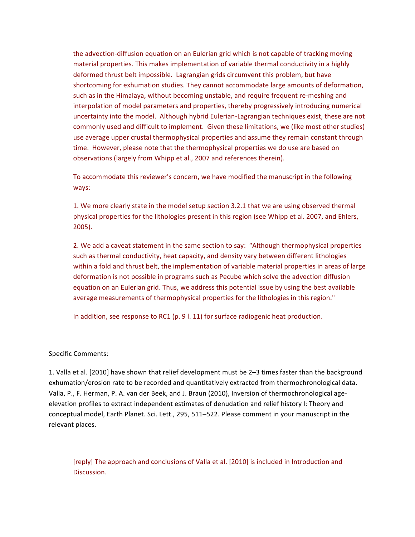the advection-diffusion equation on an Eulerian grid which is not capable of tracking moving material properties. This makes implementation of variable thermal conductivity in a highly deformed thrust belt impossible. Lagrangian grids circumvent this problem, but have shortcoming for exhumation studies. They cannot accommodate large amounts of deformation, such as in the Himalaya, without becoming unstable, and require frequent re-meshing and interpolation of model parameters and properties, thereby progressively introducing numerical uncertainty into the model. Although hybrid Eulerian-Lagrangian techniques exist, these are not commonly used and difficult to implement. Given these limitations, we (like most other studies) use average upper crustal thermophysical properties and assume they remain constant through time. However, please note that the thermophysical properties we do use are based on observations (largely from Whipp et al., 2007 and references therein).

To accommodate this reviewer's concern, we have modified the manuscript in the following ways:

1. We more clearly state in the model setup section 3.2.1 that we are using observed thermal physical properties for the lithologies present in this region (see Whipp et al. 2007, and Ehlers, 2005).

2. We add a caveat statement in the same section to say: "Although thermophysical properties such as thermal conductivity, heat capacity, and density vary between different lithologies within a fold and thrust belt, the implementation of variable material properties in areas of large deformation is not possible in programs such as Pecube which solve the advection diffusion equation on an Eulerian grid. Thus, we address this potential issue by using the best available average measurements of thermophysical properties for the lithologies in this region."

In addition, see response to RC1 (p. 9 l. 11) for surface radiogenic heat production.

## Specific Comments:

1. Valla et al. [2010] have shown that relief development must be 2-3 times faster than the background exhumation/erosion rate to be recorded and quantitatively extracted from thermochronological data. Valla, P., F. Herman, P. A. van der Beek, and J. Braun (2010), Inversion of thermochronological ageelevation profiles to extract independent estimates of denudation and relief history I: Theory and conceptual model, Earth Planet. Sci. Lett., 295, 511–522. Please comment in your manuscript in the relevant places.

[reply] The approach and conclusions of Valla et al. [2010] is included in Introduction and Discussion.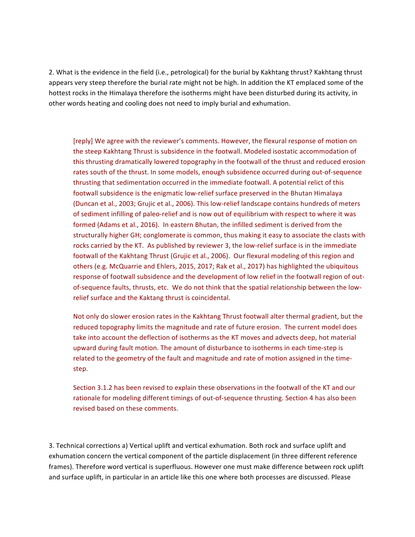2. What is the evidence in the field (i.e., petrological) for the burial by Kakhtang thrust? Kakhtang thrust appears very steep therefore the burial rate might not be high. In addition the KT emplaced some of the hottest rocks in the Himalaya therefore the isotherms might have been disturbed during its activity, in other words heating and cooling does not need to imply burial and exhumation.

[reply] We agree with the reviewer's comments. However, the flexural response of motion on the steep Kakhtang Thrust is subsidence in the footwall. Modeled isostatic accommodation of this thrusting dramatically lowered topography in the footwall of the thrust and reduced erosion rates south of the thrust. In some models, enough subsidence occurred during out-of-sequence thrusting that sedimentation occurred in the immediate footwall. A potential relict of this footwall subsidence is the enigmatic low-relief surface preserved in the Bhutan Himalaya (Duncan et al., 2003; Grujic et al., 2006). This low-relief landscape contains hundreds of meters of sediment infilling of paleo-relief and is now out of equilibrium with respect to where it was formed (Adams et al., 2016). In eastern Bhutan, the infilled sediment is derived from the structurally higher GH; conglomerate is common, thus making it easy to associate the clasts with rocks carried by the KT. As published by reviewer 3, the low-relief surface is in the immediate footwall of the Kakhtang Thrust (Grujic et al., 2006). Our flexural modeling of this region and others (e.g. McQuarrie and Ehlers, 2015, 2017; Rak et al., 2017) has highlighted the ubiquitous response of footwall subsidence and the development of low relief in the footwall region of outof-sequence faults, thrusts, etc. We do not think that the spatial relationship between the lowrelief surface and the Kaktang thrust is coincidental.

Not only do slower erosion rates in the Kakhtang Thrust footwall alter thermal gradient, but the reduced topography limits the magnitude and rate of future erosion. The current model does take into account the deflection of isotherms as the KT moves and advects deep, hot material upward during fault motion. The amount of disturbance to isotherms in each time-step is related to the geometry of the fault and magnitude and rate of motion assigned in the timestep.

Section 3.1.2 has been revised to explain these observations in the footwall of the KT and our rationale for modeling different timings of out-of-sequence thrusting. Section 4 has also been revised based on these comments.

3. Technical corrections a) Vertical uplift and vertical exhumation. Both rock and surface uplift and exhumation concern the vertical component of the particle displacement (in three different reference frames). Therefore word vertical is superfluous. However one must make difference between rock uplift and surface uplift, in particular in an article like this one where both processes are discussed. Please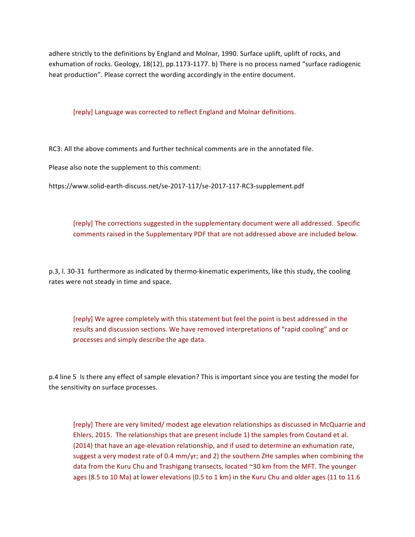adhere strictly to the definitions by England and Molnar, 1990. Surface uplift, uplift of rocks, and exhumation of rocks. Geology, 18(12), pp.1173-1177. b) There is no process named "surface radiogenic heat production". Please correct the wording accordingly in the entire document.

[reply] Language was corrected to reflect England and Molnar definitions.

RC3: All the above comments and further technical comments are in the annotated file.

Please also note the supplement to this comment:

https://www.solid-earth-discuss.net/se-2017-117/se-2017-117-RC3-supplement.pdf

[reply] The corrections suggested in the supplementary document were all addressed. Specific comments raised in the Supplementary PDF that are not addressed above are included below.

p.3, I. 30-31 furthermore as indicated by thermo-kinematic experiments, like this study, the cooling rates were not steady in time and space.

[reply] We agree completely with this statement but feel the point is best addressed in the results and discussion sections. We have removed interpretations of "rapid cooling" and or processes and simply describe the age data.

p.4 line 5 Is there any effect of sample elevation? This is important since you are testing the model for the sensitivity on surface processes.

[reply] There are very limited/ modest age elevation relationships as discussed in McQuarrie and Ehlers, 2015. The relationships that are present include 1) the samples from Coutand et al. (2014) that have an age-elevation relationship, and if used to determine an exhumation rate, suggest a very modest rate of 0.4 mm/yr; and 2) the southern ZHe samples when combining the data from the Kuru Chu and Trashigang transects, located ~30 km from the MFT. The younger ages (8.5 to 10 Ma) at lower elevations (0.5 to 1 km) in the Kuru Chu and older ages (11 to 11.6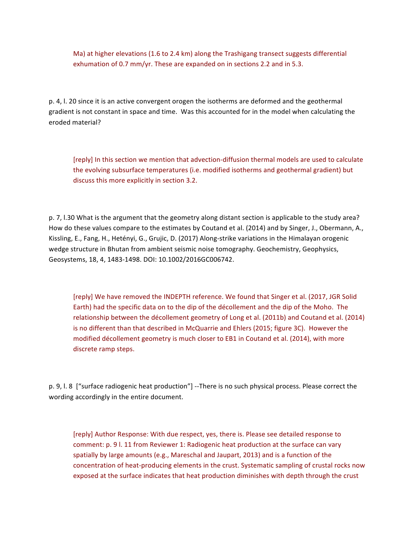Ma) at higher elevations  $(1.6 \text{ to } 2.4 \text{ km})$  along the Trashigang transect suggests differential exhumation of 0.7  $mm/yr$ . These are expanded on in sections 2.2 and in 5.3.

p. 4, l. 20 since it is an active convergent orogen the isotherms are deformed and the geothermal gradient is not constant in space and time. Was this accounted for in the model when calculating the eroded material?

[reply] In this section we mention that advection-diffusion thermal models are used to calculate the evolving subsurface temperatures (i.e. modified isotherms and geothermal gradient) but discuss this more explicitly in section 3.2.

p. 7, l.30 What is the argument that the geometry along distant section is applicable to the study area? How do these values compare to the estimates by Coutand et al. (2014) and by Singer, J., Obermann, A., Kissling, E., Fang, H., Hetényi, G., Grujic, D. (2017) Along-strike variations in the Himalayan orogenic wedge structure in Bhutan from ambient seismic noise tomography. Geochemistry, Geophysics, Geosystems, 18, 4, 1483-1498. DOI: 10.1002/2016GC006742.

[reply] We have removed the INDEPTH reference. We found that Singer et al. (2017, JGR Solid Earth) had the specific data on to the dip of the décollement and the dip of the Moho. The relationship between the décollement geometry of Long et al. (2011b) and Coutand et al. (2014) is no different than that described in McQuarrie and Ehlers (2015; figure 3C). However the modified décollement geometry is much closer to EB1 in Coutand et al. (2014), with more discrete ramp steps.

p. 9, l. 8 ["surface radiogenic heat production"] --There is no such physical process. Please correct the wording accordingly in the entire document.

[reply] Author Response: With due respect, yes, there is. Please see detailed response to comment: p. 9 l. 11 from Reviewer 1: Radiogenic heat production at the surface can vary spatially by large amounts (e.g., Mareschal and Jaupart, 2013) and is a function of the concentration of heat-producing elements in the crust. Systematic sampling of crustal rocks now exposed at the surface indicates that heat production diminishes with depth through the crust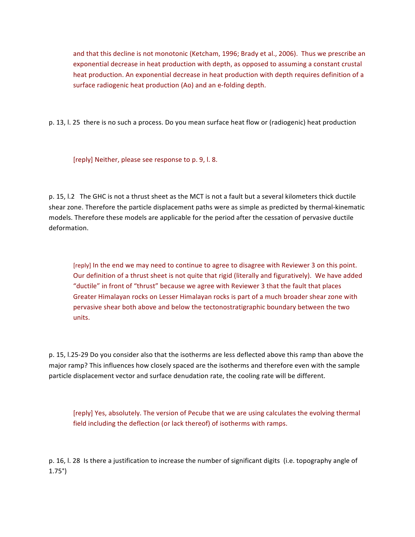and that this decline is not monotonic (Ketcham, 1996; Brady et al., 2006). Thus we prescribe an exponential decrease in heat production with depth, as opposed to assuming a constant crustal heat production. An exponential decrease in heat production with depth requires definition of a surface radiogenic heat production (Ao) and an e-folding depth.

p. 13, l. 25 there is no such a process. Do you mean surface heat flow or (radiogenic) heat production

[reply] Neither, please see response to p. 9, l. 8.

p. 15, l.2 The GHC is not a thrust sheet as the MCT is not a fault but a several kilometers thick ductile shear zone. Therefore the particle displacement paths were as simple as predicted by thermal-kinematic models. Therefore these models are applicable for the period after the cessation of pervasive ductile deformation. 

[reply] In the end we may need to continue to agree to disagree with Reviewer 3 on this point. Our definition of a thrust sheet is not quite that rigid (literally and figuratively). We have added "ductile" in front of "thrust" because we agree with Reviewer 3 that the fault that places Greater Himalayan rocks on Lesser Himalayan rocks is part of a much broader shear zone with pervasive shear both above and below the tectonostratigraphic boundary between the two units.

p. 15, l.25-29 Do you consider also that the isotherms are less deflected above this ramp than above the major ramp? This influences how closely spaced are the isotherms and therefore even with the sample particle displacement vector and surface denudation rate, the cooling rate will be different.

[reply] Yes, absolutely. The version of Pecube that we are using calculates the evolving thermal field including the deflection (or lack thereof) of isotherms with ramps.

p. 16, l. 28 Is there a justification to increase the number of significant digits (i.e. topography angle of 1.75°)